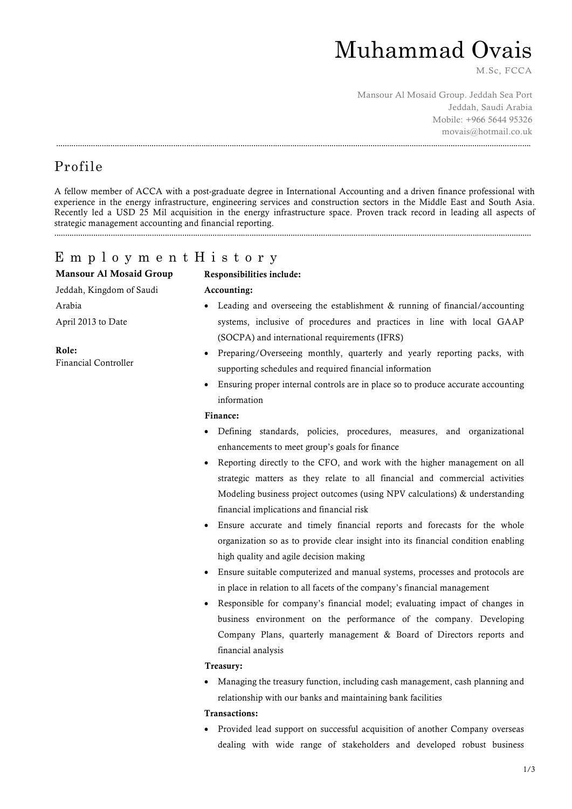## Muhammad Ovais

M.Sc, FCCA

Mansour Al Mosaid Group. Jeddah Sea Port Jeddah, Saudi Arabia Mobile: +966 5644 95326 movais@hotmail.co.uk

## Profile

A fellow member of ACCA with a post-graduate degree in International Accounting and a driven finance professional with experience in the energy infrastructure, engineering services and construction sectors in the Middle East and South Asia. Recently led a USD 25 Mil acquisition in the energy infrastructure space. Proven track record in leading all aspects of strategic management accounting and financial reporting. ............................................................................................................................................................................................................................

...........................................................................................................................................................................................................................

### E m p l o y m e n t H i s t o r y

| <b>Mansour Al Mosaid Group</b> | Responsibilities include:                                                                     |
|--------------------------------|-----------------------------------------------------------------------------------------------|
| Jeddah, Kingdom of Saudi       | Accounting:                                                                                   |
| Arabia                         | • Leading and overseeing the establishment $&$ running of financial/accounting                |
| April 2013 to Date             | systems, inclusive of procedures and practices in line with local GAAP                        |
|                                | (SOCPA) and international requirements (IFRS)                                                 |
| Role:<br>Financial Controller  | Preparing/Overseeing monthly, quarterly and yearly reporting packs, with<br>$\bullet$         |
|                                | supporting schedules and required financial information                                       |
|                                | Ensuring proper internal controls are in place so to produce accurate accounting<br>$\bullet$ |
|                                | information                                                                                   |
|                                | Finance:                                                                                      |
|                                | Defining standards, policies, procedures, measures, and organizational<br>$\bullet$           |
|                                | enhancements to meet group's goals for finance                                                |
|                                | Reporting directly to the CFO, and work with the higher management on all<br>$\bullet$        |
|                                | strategic matters as they relate to all financial and commercial activities                   |
|                                | Modeling business project outcomes (using NPV calculations) & understanding                   |
|                                | financial implications and financial risk                                                     |
|                                | Ensure accurate and timely financial reports and forecasts for the whole<br>$\bullet$         |
|                                | organization so as to provide clear insight into its financial condition enabling             |

- $\alpha$ zation so as to provide clear insight into its financial co high quality and agile decision making
- Ensure suitable computerized and manual systems, processes and protocols are in place in relation to all facets of the company's financial management
- Responsible for company's financial model; evaluating impact of changes in business environment on the performance of the company. Developing Company Plans, quarterly management & Board of Directors reports and financial analysis

#### Treasury:

 Managing the treasury function, including cash management, cash planning and relationship with our banks and maintaining bank facilities

#### Transactions:

 Provided lead support on successful acquisition of another Company overseas dealing with wide range of stakeholders and developed robust business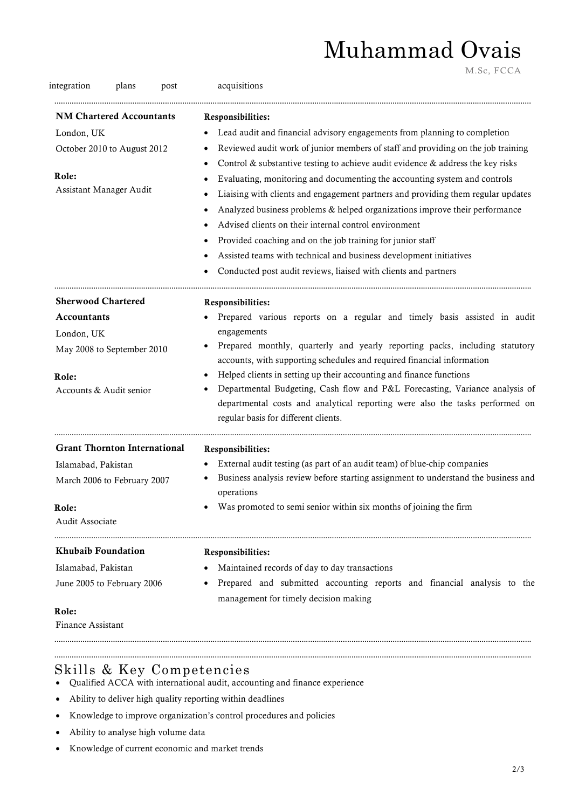## Muhammad Ovais

M.Sc, FCCA

| integration<br>plans<br>post        | acquisitions                                                                                                                                                                                                     |
|-------------------------------------|------------------------------------------------------------------------------------------------------------------------------------------------------------------------------------------------------------------|
| <b>NM Chartered Accountants</b>     | Responsibilities:                                                                                                                                                                                                |
| London, UK                          | Lead audit and financial advisory engagements from planning to completion<br>٠                                                                                                                                   |
| October 2010 to August 2012         | Reviewed audit work of junior members of staff and providing on the job training                                                                                                                                 |
|                                     | Control & substantive testing to achieve audit evidence & address the key risks                                                                                                                                  |
| Role:                               | Evaluating, monitoring and documenting the accounting system and controls                                                                                                                                        |
| Assistant Manager Audit             | Liaising with clients and engagement partners and providing them regular updates                                                                                                                                 |
|                                     | Analyzed business problems & helped organizations improve their performance                                                                                                                                      |
|                                     | Advised clients on their internal control environment                                                                                                                                                            |
|                                     | Provided coaching and on the job training for junior staff                                                                                                                                                       |
|                                     | Assisted teams with technical and business development initiatives                                                                                                                                               |
|                                     | Conducted post audit reviews, liaised with clients and partners                                                                                                                                                  |
| <b>Sherwood Chartered</b>           | Responsibilities:                                                                                                                                                                                                |
| <b>Accountants</b>                  | Prepared various reports on a regular and timely basis assisted in audit                                                                                                                                         |
| London, UK                          | engagements                                                                                                                                                                                                      |
| May 2008 to September 2010          | Prepared monthly, quarterly and yearly reporting packs, including statutory<br>$\bullet$                                                                                                                         |
|                                     | accounts, with supporting schedules and required financial information                                                                                                                                           |
| Role:                               | Helped clients in setting up their accounting and finance functions<br>$\bullet$                                                                                                                                 |
| Accounts & Audit senior             | Departmental Budgeting, Cash flow and P&L Forecasting, Variance analysis of<br>$\bullet$<br>departmental costs and analytical reporting were also the tasks performed on<br>regular basis for different clients. |
| <b>Grant Thornton International</b> | Responsibilities:                                                                                                                                                                                                |
| Islamabad, Pakistan                 | External audit testing (as part of an audit team) of blue-chip companies                                                                                                                                         |
| March 2006 to February 2007         | Business analysis review before starting assignment to understand the business and<br>operations                                                                                                                 |
| Role:                               | Was promoted to semi senior within six months of joining the firm<br>$\bullet$                                                                                                                                   |
| Audit Associate                     |                                                                                                                                                                                                                  |
| <b>Khubaib Foundation</b>           | Responsibilities:                                                                                                                                                                                                |
| Islamabad, Pakistan                 | Maintained records of day to day transactions                                                                                                                                                                    |
| June 2005 to February 2006          | Prepared and submitted accounting reports and financial analysis to the<br>management for timely decision making                                                                                                 |
| Role:                               |                                                                                                                                                                                                                  |
| Finance Assistant                   |                                                                                                                                                                                                                  |

### Skills & Key Competencies

- Qualified ACCA with international audit, accounting and finance experience
- Ability to deliver high quality reporting within deadlines
- Knowledge to improve organization's control procedures and policies
- Ability to analyse high volume data
- Knowledge of current economic and market trends